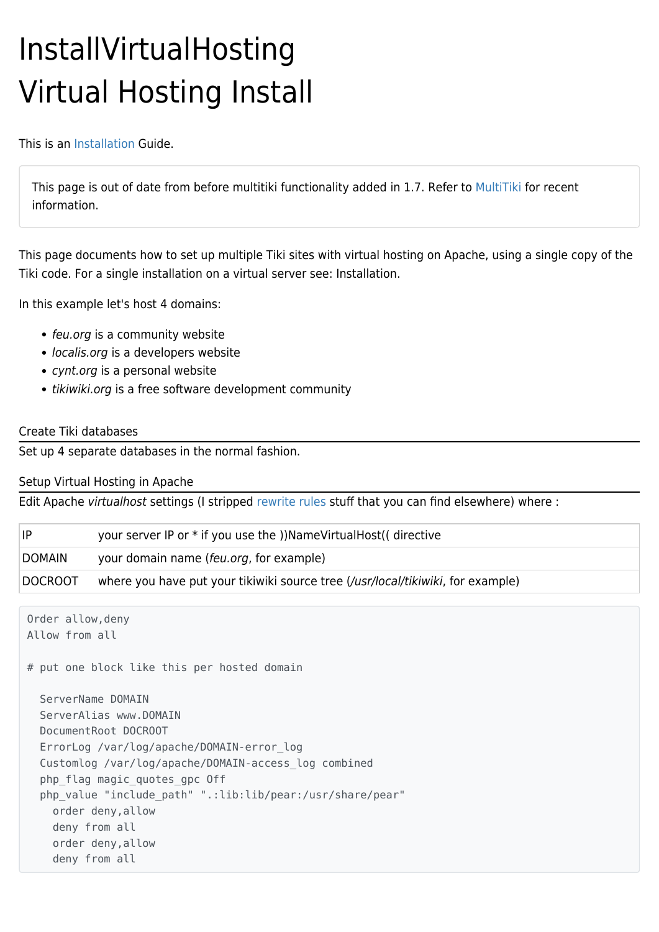## InstallVirtualHosting Virtual Hosting Install

This is an [Installation](http://doc.tiki.org/Installation) Guide.

This page is [out of date](https://tiki.org/tiki-editpage.php?page=out+of+date) from before multitiki functionality added in 1.7. Refer to [MultiTiki](http://doc.tiki.org/MultiTiki) for recent information.

This page documents how to set up multiple Tiki sites with virtual hosting on Apache, using a single copy of the Tiki code. For a single installation on a virtual server see: [Installation.](https://tiki.org/tiki-editpage.php?page=Installation)

In this example let's host 4 domains:

- feu.org is a community website
- localis.org is a developers website
- cynt.org is a personal website
- tikiwiki.org is a free software development community

## Create Tiki databases

Set up 4 separate databases in the normal fashion.

Setup Virtual Hosting in Apache

Edit Apache virtualhost settings (I stripped [rewrite rules](https://tiki.org/TikiWikiRewriteRule) stuff that you can find elsewhere) where :

| IP             | your server IP or * if you use the ))NameVirtualHost(( directive                |
|----------------|---------------------------------------------------------------------------------|
| <b>DOMAIN</b>  | your domain name (feu.org, for example)                                         |
| <b>DOCROOT</b> | where you have put your tikiwiki source tree (/usr/local/tikiwiki, for example) |

```
Order allow,deny
Allow from all
# put one block like this per hosted domain
   ServerName DOMAIN
  ServerAlias www.DOMAIN
   DocumentRoot DOCROOT
   ErrorLog /var/log/apache/DOMAIN-error_log
   Customlog /var/log/apache/DOMAIN-access_log combined
   php_flag magic_quotes_gpc Off
   php_value "include_path" ".:lib:lib/pear:/usr/share/pear"
     order deny,allow
     deny from all
     order deny,allow
     deny from all
```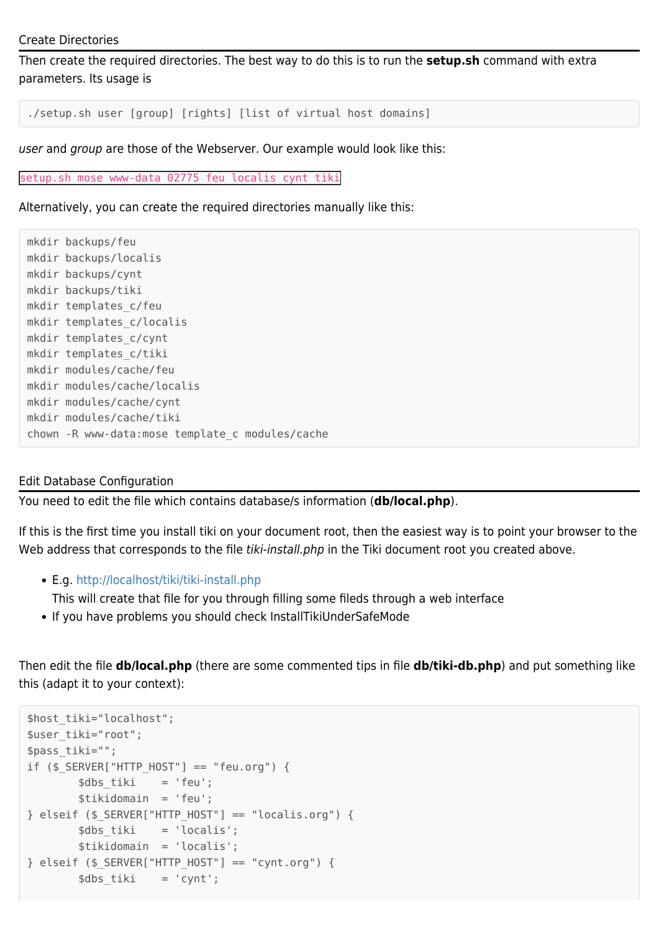```
Create Directories
```
Then create the required directories. The best way to do this is to run the **setup.sh** command with extra parameters. Its usage is

./setup.sh user [group] [rights] [list of virtual host domains]

user and group are those of the Webserver. Our example would look like this:

setup.sh mose www-data 02775 feu localis cynt tiki

Alternatively, you can create the required directories manually like this:

```
mkdir backups/feu
mkdir backups/localis
mkdir backups/cynt
mkdir backups/tiki
mkdir templates_c/feu
mkdir templates_c/localis
mkdir templates_c/cynt
mkdir templates_c/tiki
mkdir modules/cache/feu
mkdir modules/cache/localis
mkdir modules/cache/cynt
mkdir modules/cache/tiki
chown -R www-data:mose template_c modules/cache
```
## Edit Database Configuration

You need to edit the file which contains database/s information (**db/local.php**).

If this is the first time you install tiki on your document root, then the easiest way is to point your browser to the Web address that corresponds to the file tiki-install.php in the Tiki document root you created above.

E.g.<http://localhost/tiki/tiki-install.php>

This will create that file for you through filling some fileds through a web interface

If you have problems you should check InstallTikiUnderSafeMode

Then edit the file **db/local.php** (there are some commented tips in file **db/tiki-db.php**) and put something like this (adapt it to your context):

```
$host_tiki="localhost";
$user_tiki="root";
$pass_tiki="";
if ($ SERVER["HTTP HOST'] == "feu.org") {
       $dbs tiki = 'feu';
        $tikidomain = 'feu';
} elseif ($_SERVER["HTTP_HOST"] == "localis.org") {
        $dbs_tiki = 'localis';
         $tikidomain = 'localis';
\} elseif ($ SERVER["HTTP HOST"] == "cynt.org") {
       \deltadbs tiki = 'cynt';
```